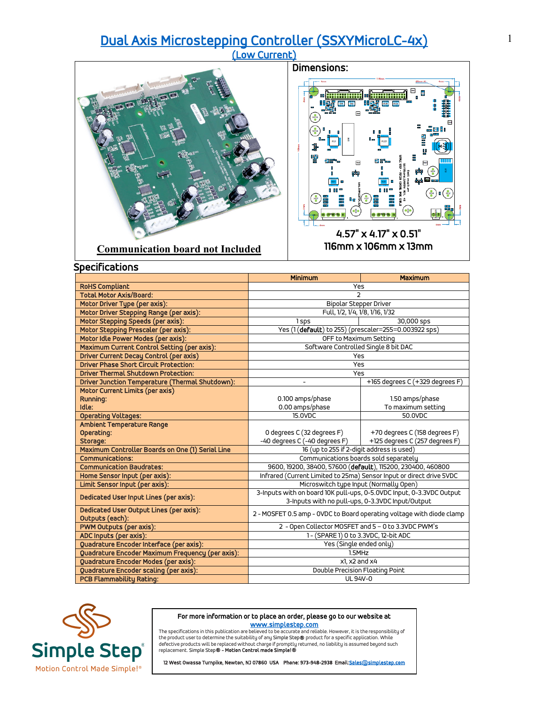# [Dual Axis Microstepping Controller \(SSXYMicroLC-4x\) \(Low Current\)](https://simplestep.com/product/ssxymicrolc-4x/)

# Dimensions: pa) a avara

### **Communication board not Included**

 4.57" x 4.17" x 0.51" 116mm x 106mm x 13mm

|                                                  | Minimum                                                                                                        | <b>Maximum</b>                  |
|--------------------------------------------------|----------------------------------------------------------------------------------------------------------------|---------------------------------|
| <b>RoHS Compliant</b>                            | Yes                                                                                                            |                                 |
| <b>Total Motor Axis/Board:</b>                   | C                                                                                                              |                                 |
| Motor Driver Type (per axis):                    | <b>Bipolar Stepper Driver</b>                                                                                  |                                 |
| Motor Driver Stepping Range (per axis):          | Full, 1/2, 1/4, 1/8, 1/16, 1/32                                                                                |                                 |
| Motor Stepping Speeds (per axis):                | 1 sps                                                                                                          | 30,000 sps                      |
| Motor Stepping Prescaler (per axis):             | Yes (1(default) to 255) (prescaler=255=0.003922 sps)                                                           |                                 |
| Motor Idle Power Modes (per axis):               | OFF to Maximum Setting                                                                                         |                                 |
| Maximum Current Control Setting (per axis):      | Software Controlled Single 8 bit DAC                                                                           |                                 |
| <b>Driver Current Decay Control (per axis)</b>   | Yes                                                                                                            |                                 |
| <b>Driver Phase Short Circuit Protection:</b>    | Yes                                                                                                            |                                 |
| <b>Driver Thermal Shutdown Protection:</b>       | Yes                                                                                                            |                                 |
| Driver Junction Temperature (Thermal Shutdown):  |                                                                                                                | +165 degrees C (+329 degrees F) |
| Motor Current Limits (per axis)                  |                                                                                                                |                                 |
| Running:                                         | 0.100 amps/phase                                                                                               | 1.50 amps/phase                 |
| Idle:                                            | 0.00 amps/phase                                                                                                | To maximum setting              |
| <b>Operating Voltages:</b>                       | 15.0VDC                                                                                                        | 50.0VDC                         |
| Ambient Temperature Range                        |                                                                                                                |                                 |
| Operating:                                       | 0 degrees C (32 degrees F)                                                                                     | +70 degrees C (158 degrees F)   |
| Storage:                                         | -40 degrees C (-40 degrees F)                                                                                  | +125 degrees C (257 degrees F)  |
| Maximum Controller Boards on One (1) Serial Line | 16 (up to 255 if 2-digit address is used)                                                                      |                                 |
| <b>Communications:</b>                           | Communications boards sold separately                                                                          |                                 |
| <b>Communication Baudrates:</b>                  | 9600, 19200, 38400, 57600 (default), 115200, 230400, 460800                                                    |                                 |
| Home Sensor Input (per axis):                    | Infrared (Current Limited to 25ma) Sensor Input or direct drive 5VDC                                           |                                 |
| Limit Sensor Input (per axis):                   | Microswitch type Input (Normally Open)<br>3-Inputs with on board 10K pull-ups, 0-5.0VDC Input, 0-3.3VDC Output |                                 |
| Dedicated User Input Lines (per axis):           | 3-Inputs with no pull-ups, 0-3.3VDC Input/Output                                                               |                                 |
| Dedicated User Output Lines (per axis):          | 2 - MOSFET 0.5 amp - OVDC to Board operating voltage with diode clamp                                          |                                 |
| Outputs (each):                                  |                                                                                                                |                                 |
| PWM Outputs (per axis):                          | 2 - Open Collector MOSFET and 5 - 0 to 3.3VDC PWM's                                                            |                                 |
| ADC Inputs (per axis):                           | 1- (SPARE 1) 0 to 3.3VDC, 12-bit ADC                                                                           |                                 |
| Quadrature Encoder Interface (per axis):         | Yes (Single ended only)                                                                                        |                                 |
| Quadrature Encoder Maximum Frequency (per axis): | 1.5MHz                                                                                                         |                                 |
| Quadrature Encoder Modes (per axis):             | x1, x2 and x4                                                                                                  |                                 |
| Quadrature Encoder scaling (per axis):           | Double Precision Floating Point                                                                                |                                 |
| <b>PCB Flammability Rating:</b>                  | UL 94V-0                                                                                                       |                                 |



## For more information or to place an order, please go to our website at

**WWW.Simplestep.com**<br>The specifications in this publication are believed to be accurate and reliable. However, it is the responsibility of<br>defective product swill be replaced without charge if promptly returned, no liabili

12 West Owassa Turnpike, Newton, NJ 07860 USA Phone: 973-948-2938 Email: Sales@simplestep.com